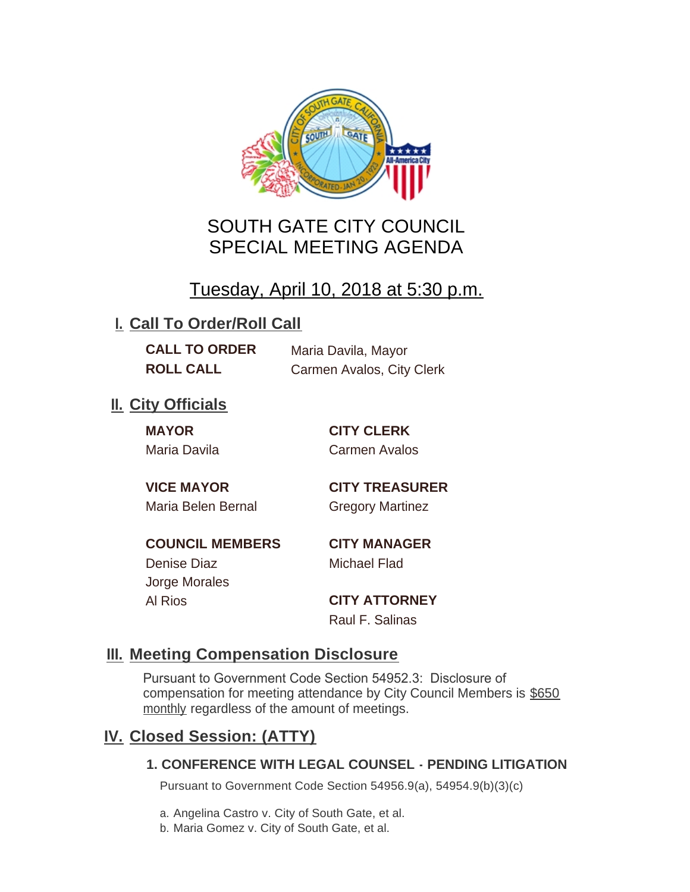

# SOUTH GATE CITY COUNCIL SPECIAL MEETING AGENDA

# Tuesday, April 10, 2018 at 5:30 p.m.

## **I. Call To Order/Roll Call**

**CALL TO ORDER** Maria Davila, Mayor **ROLL CALL** Carmen Avalos, City Clerk

## **II.** City Officials

**MAYOR CITY CLERK**

Maria Davila Carmen Avalos

Maria Belen Bernal Gregory Martinez

**VICE MAYOR CITY TREASURER**

**COUNCIL MEMBERS CITY MANAGER** Denise Diaz Michael Flad

Jorge Morales

Al Rios **CITY ATTORNEY** Raul F. Salinas

### **Meeting Compensation Disclosure III.**

Pursuant to Government Code Section 54952.3: Disclosure of compensation for meeting attendance by City Council Members is \$650 monthly regardless of the amount of meetings.

### **Closed Session: (ATTY) IV.**

#### **1. CONFERENCE WITH LEGAL COUNSEL - PENDING LITIGATION**

Pursuant to Government Code Section 54956.9(a), 54954.9(b)(3)(c)

a. Angelina Castro v. City of South Gate, et al.

b. Maria Gomez v. City of South Gate, et al.